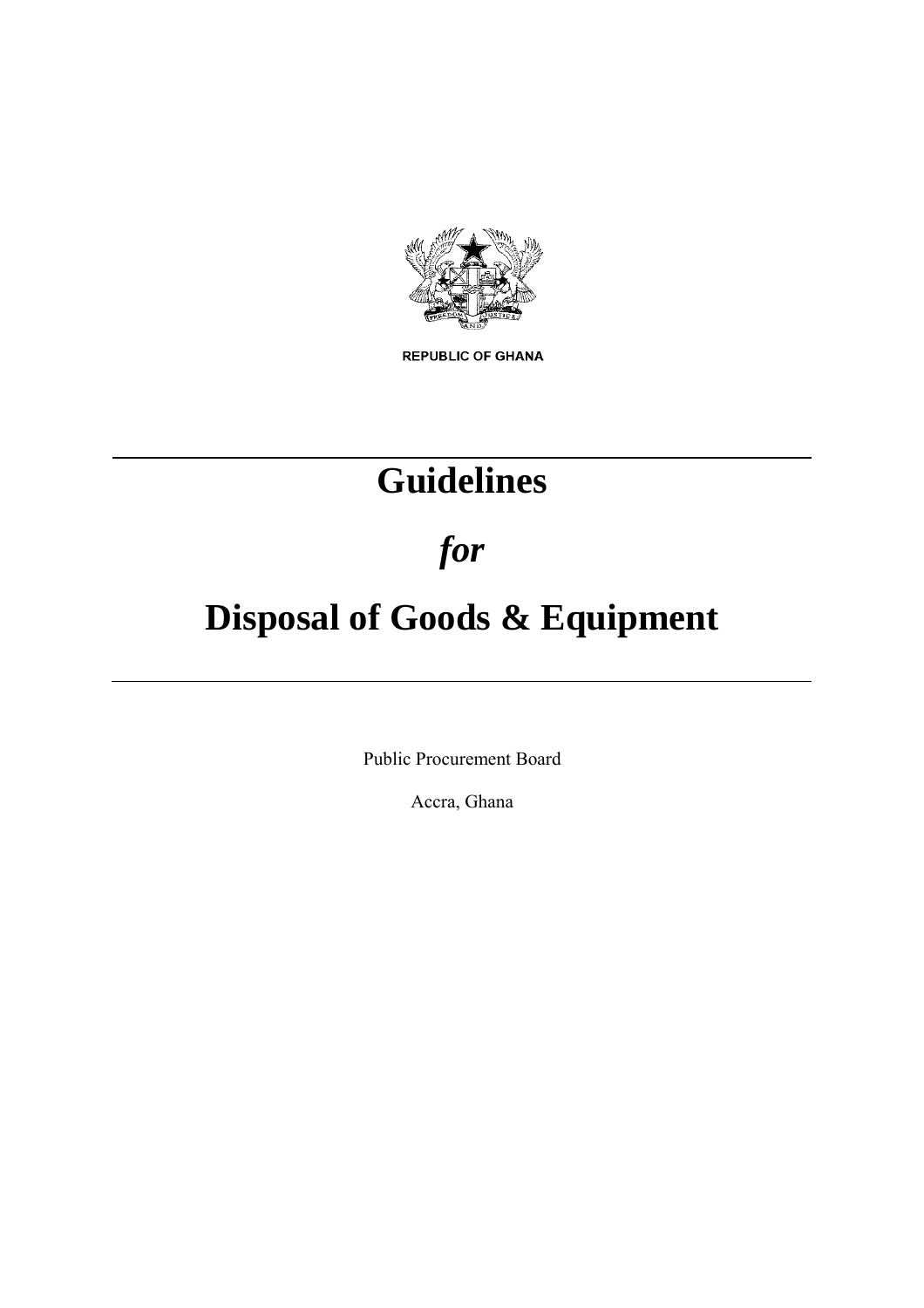

**REPUBLIC OF GHANA** 

## **Guidelines**

*for*

# **Disposal of Goods & Equipment**

Public Procurement Board

Accra, Ghana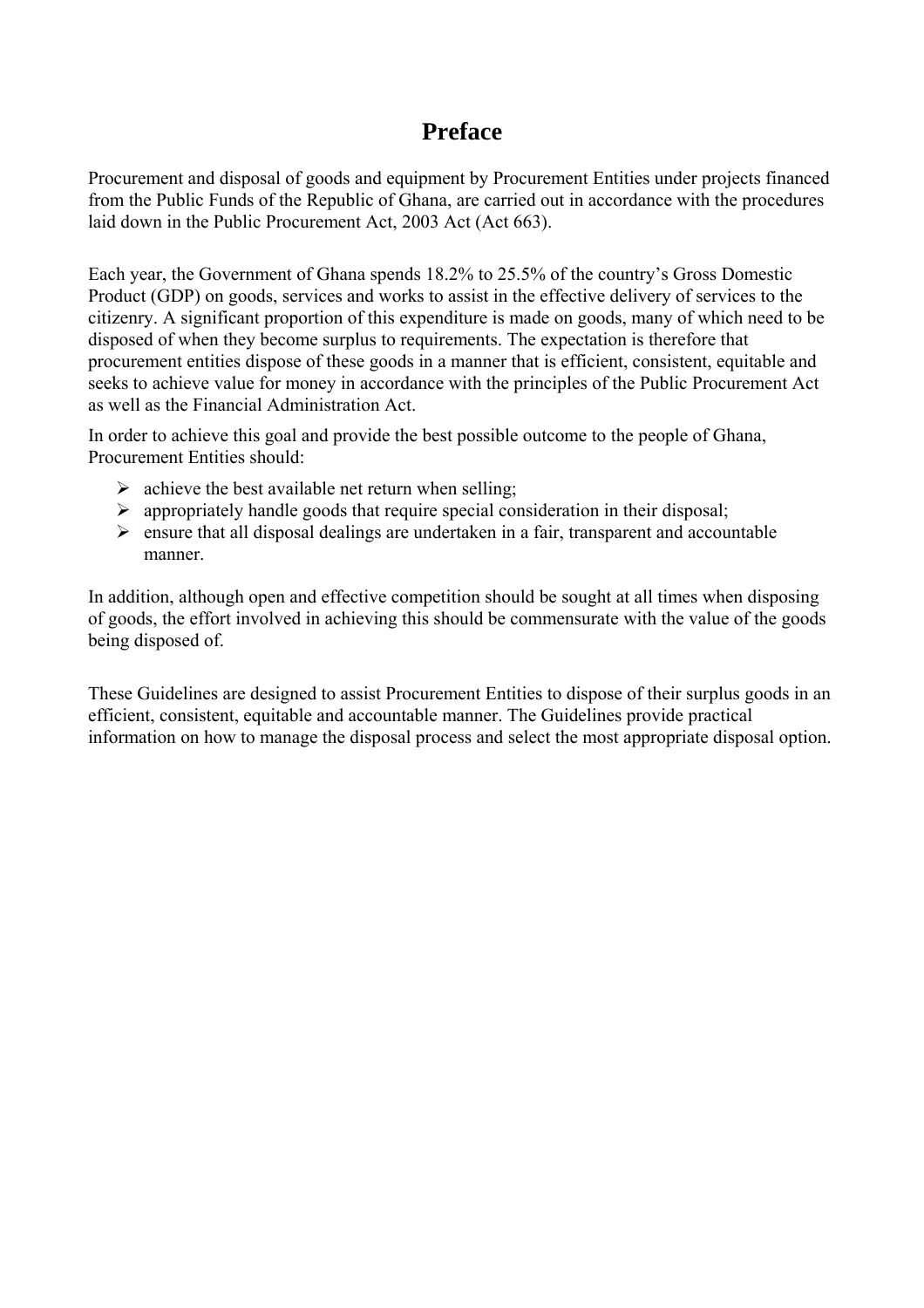### **Preface**

Procurement and disposal of goods and equipment by Procurement Entities under projects financed from the Public Funds of the Republic of Ghana, are carried out in accordance with the procedures laid down in the Public Procurement Act, 2003 Act (Act 663).

Each year, the Government of Ghana spends 18.2% to 25.5% of the country's Gross Domestic Product (GDP) on goods, services and works to assist in the effective delivery of services to the citizenry. A significant proportion of this expenditure is made on goods, many of which need to be disposed of when they become surplus to requirements. The expectation is therefore that procurement entities dispose of these goods in a manner that is efficient, consistent, equitable and seeks to achieve value for money in accordance with the principles of the Public Procurement Act as well as the Financial Administration Act.

In order to achieve this goal and provide the best possible outcome to the people of Ghana, Procurement Entities should:

- $\triangleright$  achieve the best available net return when selling;
- $\triangleright$  appropriately handle goods that require special consideration in their disposal;
- $\triangleright$  ensure that all disposal dealings are undertaken in a fair, transparent and accountable manner.

In addition, although open and effective competition should be sought at all times when disposing of goods, the effort involved in achieving this should be commensurate with the value of the goods being disposed of.

These Guidelines are designed to assist Procurement Entities to dispose of their surplus goods in an efficient, consistent, equitable and accountable manner. The Guidelines provide practical information on how to manage the disposal process and select the most appropriate disposal option.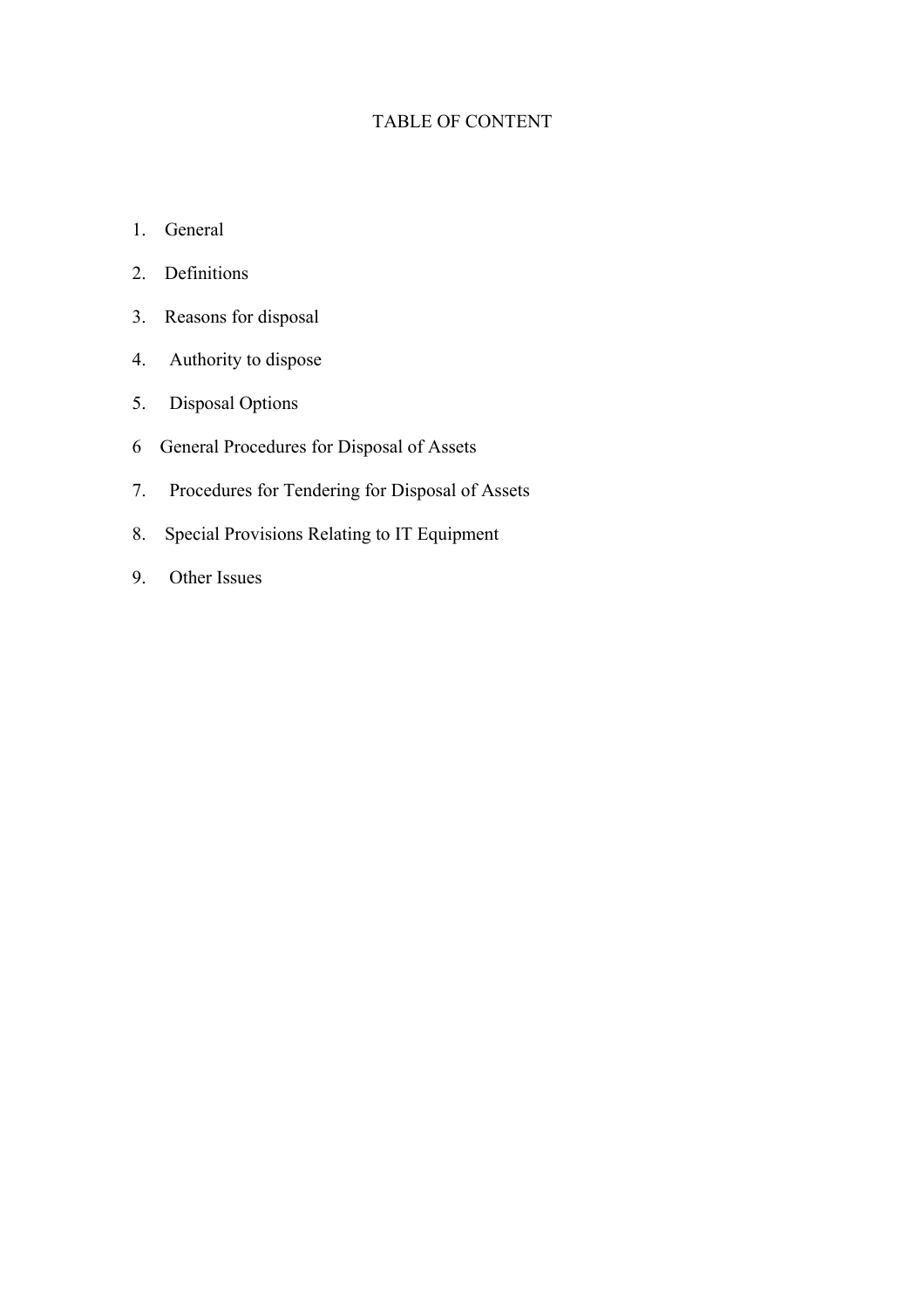#### TABLE OF CONTENT

- 1. General
- 2. Definitions
- 3. Reasons for disposal
- 4. Authority to dispose
- 5. Disposal Options
- 6 General Procedures for Disposal of Assets
- 7. Procedures for Tendering for Disposal of Assets
- 8. Special Provisions Relating to IT Equipment
- 9. Other Issues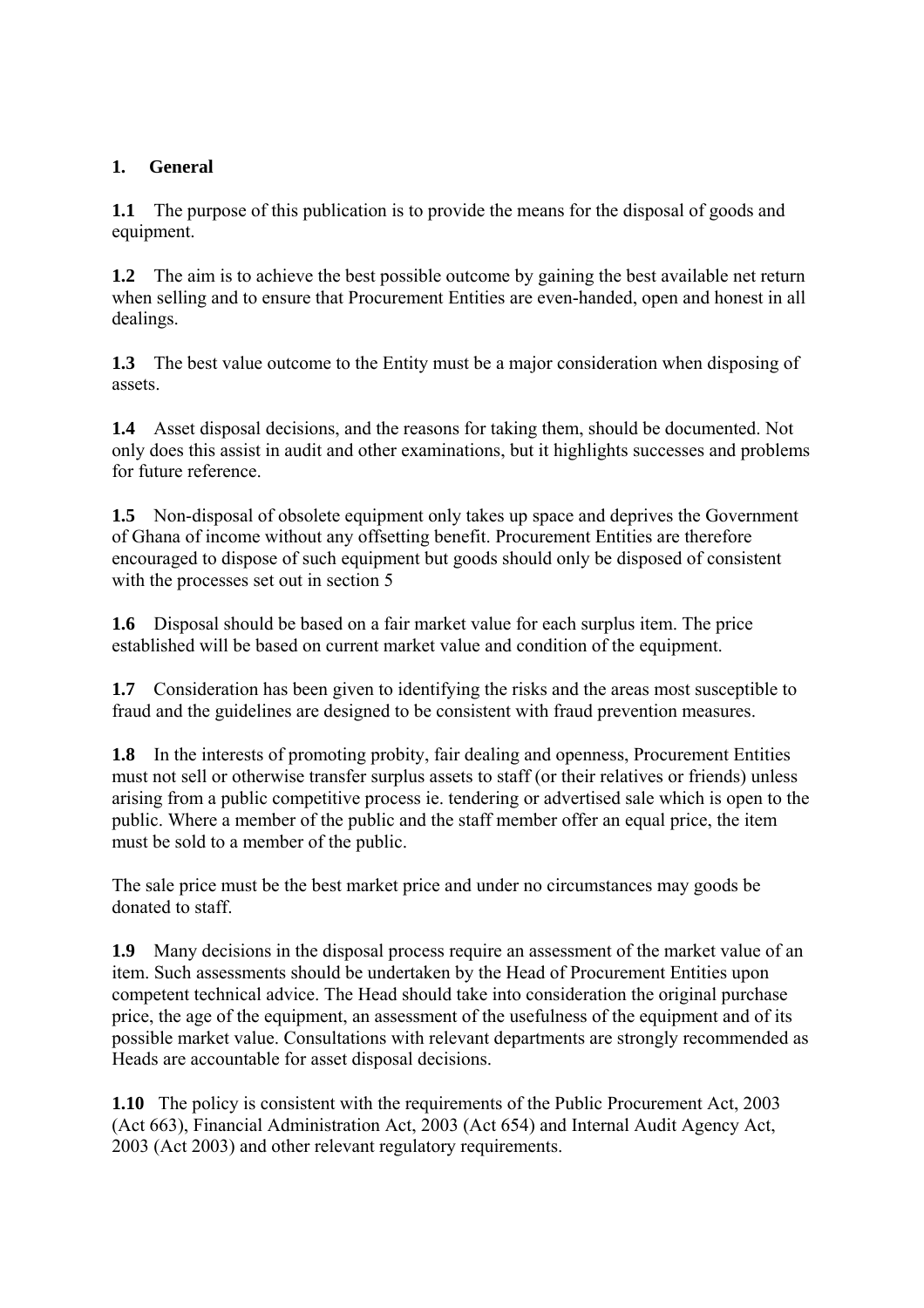#### **1. General**

**1.1** The purpose of this publication is to provide the means for the disposal of goods and equipment.

**1.2** The aim is to achieve the best possible outcome by gaining the best available net return when selling and to ensure that Procurement Entities are even-handed, open and honest in all dealings.

**1.3** The best value outcome to the Entity must be a major consideration when disposing of assets.

**1.4** Asset disposal decisions, and the reasons for taking them, should be documented. Not only does this assist in audit and other examinations, but it highlights successes and problems for future reference.

**1.5** Non-disposal of obsolete equipment only takes up space and deprives the Government of Ghana of income without any offsetting benefit. Procurement Entities are therefore encouraged to dispose of such equipment but goods should only be disposed of consistent with the processes set out in section 5

**1.6** Disposal should be based on a fair market value for each surplus item. The price established will be based on current market value and condition of the equipment.

**1.7** Consideration has been given to identifying the risks and the areas most susceptible to fraud and the guidelines are designed to be consistent with fraud prevention measures.

**1.8** In the interests of promoting probity, fair dealing and openness, Procurement Entities must not sell or otherwise transfer surplus assets to staff (or their relatives or friends) unless arising from a public competitive process ie. tendering or advertised sale which is open to the public. Where a member of the public and the staff member offer an equal price, the item must be sold to a member of the public.

The sale price must be the best market price and under no circumstances may goods be donated to staff.

**1.9** Many decisions in the disposal process require an assessment of the market value of an item. Such assessments should be undertaken by the Head of Procurement Entities upon competent technical advice. The Head should take into consideration the original purchase price, the age of the equipment, an assessment of the usefulness of the equipment and of its possible market value. Consultations with relevant departments are strongly recommended as Heads are accountable for asset disposal decisions.

**1.10** The policy is consistent with the requirements of the Public Procurement Act, 2003 (Act 663), Financial Administration Act, 2003 (Act 654) and Internal Audit Agency Act, 2003 (Act 2003) and other relevant regulatory requirements.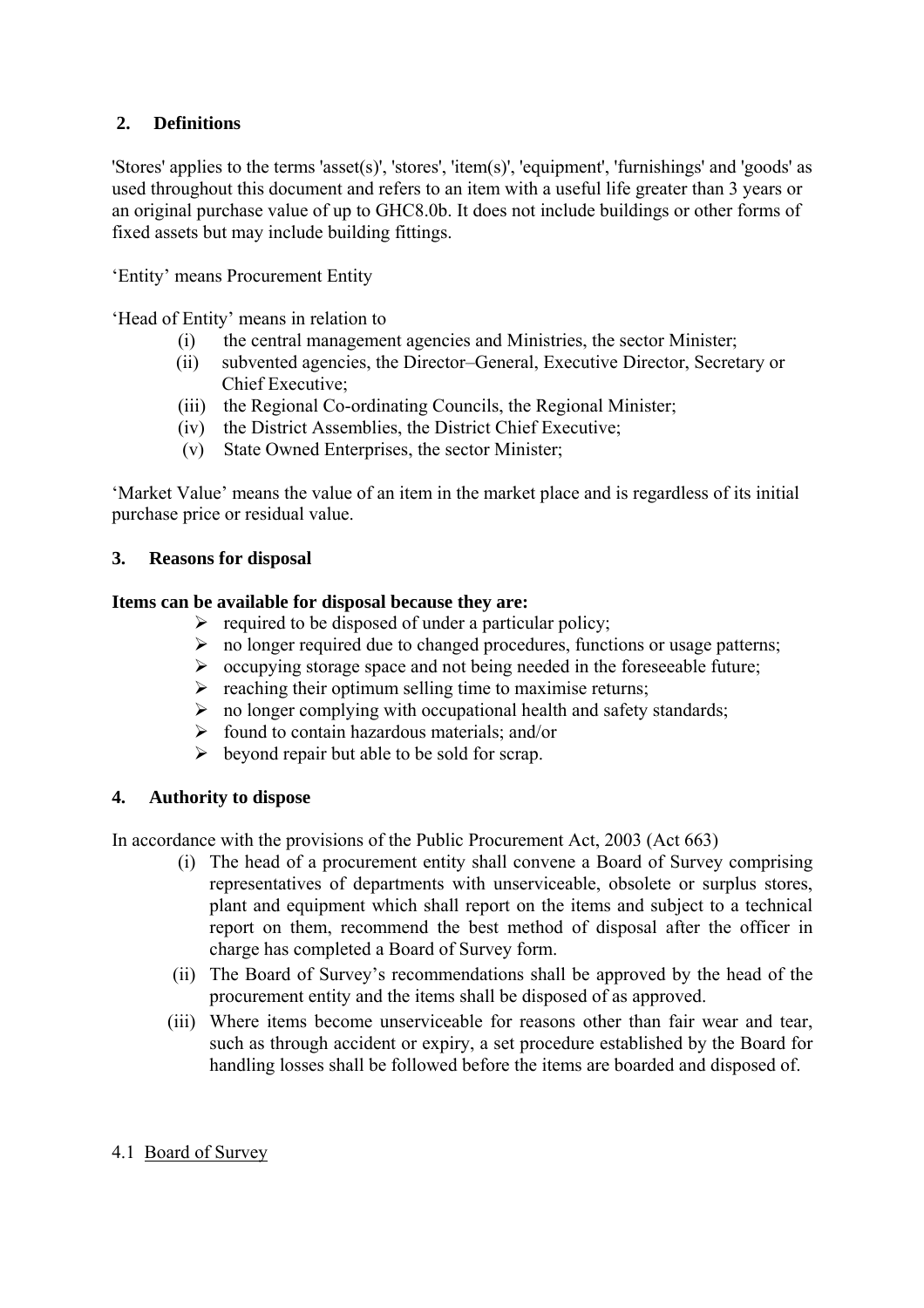#### **2. Definitions**

'Stores' applies to the terms 'asset(s)', 'stores', 'item(s)', 'equipment', 'furnishings' and 'goods' as used throughout this document and refers to an item with a useful life greater than 3 years or an original purchase value of up to GHC8.0b. It does not include buildings or other forms of fixed assets but may include building fittings.

'Entity' means Procurement Entity

'Head of Entity' means in relation to

- (i) the central management agencies and Ministries, the sector Minister;
- (ii) subvented agencies, the Director–General, Executive Director, Secretary or Chief Executive;
- (iii) the Regional Co-ordinating Councils, the Regional Minister;
- (iv) the District Assemblies, the District Chief Executive;
- (v) State Owned Enterprises, the sector Minister;

'Market Value' means the value of an item in the market place and is regardless of its initial purchase price or residual value.

#### **3. Reasons for disposal**

#### **Items can be available for disposal because they are:**

- $\triangleright$  required to be disposed of under a particular policy;
- $\triangleright$  no longer required due to changed procedures, functions or usage patterns;
- $\triangleright$  occupying storage space and not being needed in the foreseeable future;
- $\triangleright$  reaching their optimum selling time to maximise returns;
- $\triangleright$  no longer complying with occupational health and safety standards;
- $\triangleright$  found to contain hazardous materials; and/or
- $\triangleright$  beyond repair but able to be sold for scrap.

#### **4. Authority to dispose**

In accordance with the provisions of the Public Procurement Act, 2003 (Act 663)

- (i) The head of a procurement entity shall convene a Board of Survey comprising representatives of departments with unserviceable, obsolete or surplus stores, plant and equipment which shall report on the items and subject to a technical report on them, recommend the best method of disposal after the officer in charge has completed a Board of Survey form.
- (ii) The Board of Survey's recommendations shall be approved by the head of the procurement entity and the items shall be disposed of as approved.
- (iii) Where items become unserviceable for reasons other than fair wear and tear, such as through accident or expiry, a set procedure established by the Board for handling losses shall be followed before the items are boarded and disposed of.

#### 4.1 Board of Survey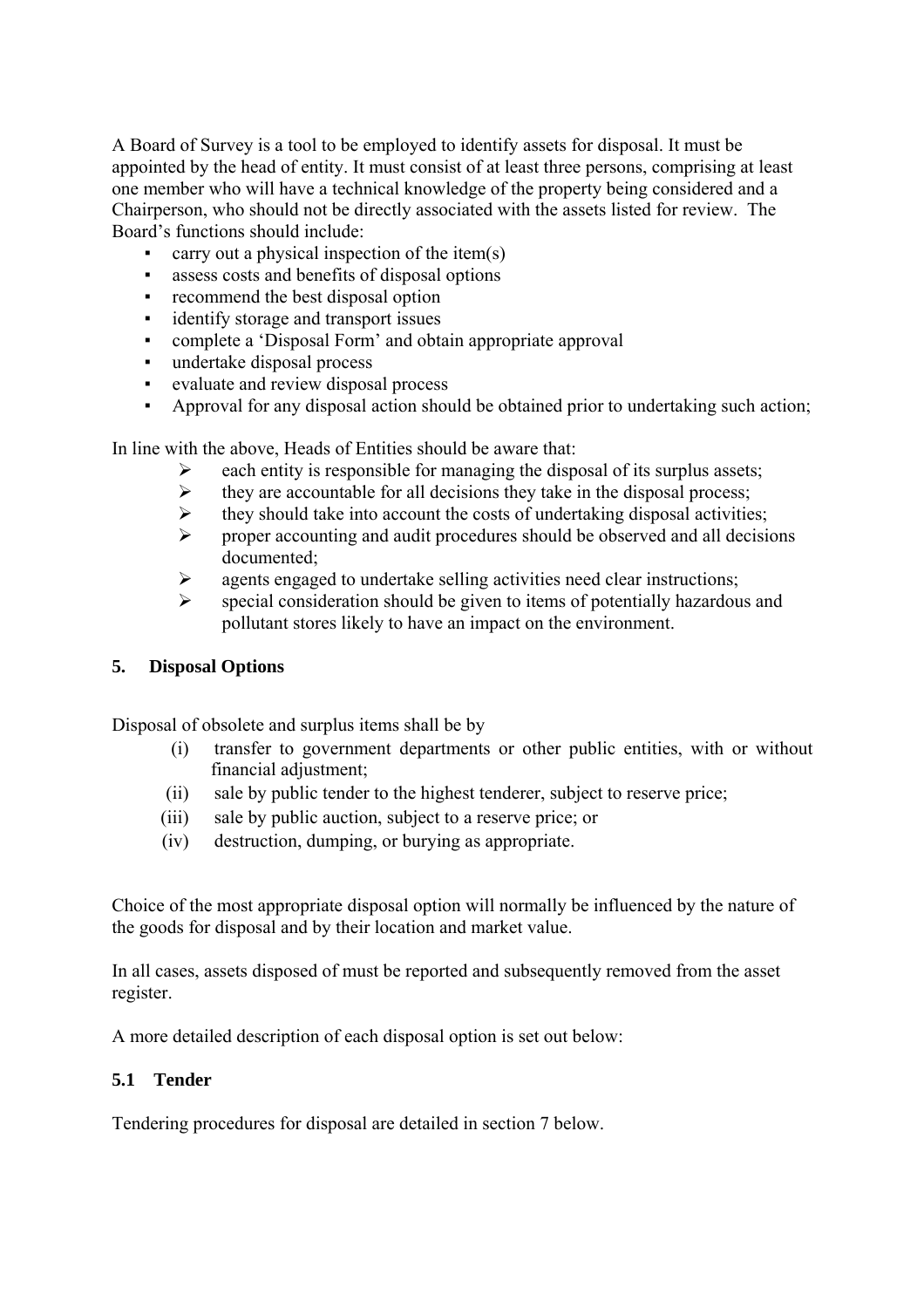A Board of Survey is a tool to be employed to identify assets for disposal. It must be appointed by the head of entity. It must consist of at least three persons, comprising at least one member who will have a technical knowledge of the property being considered and a Chairperson, who should not be directly associated with the assets listed for review. The Board's functions should include:

- carry out a physical inspection of the item $(s)$
- assess costs and benefits of disposal options
- recommend the best disposal option
- identify storage and transport issues
- complete a 'Disposal Form' and obtain appropriate approval
- undertake disposal process
- evaluate and review disposal process
- Approval for any disposal action should be obtained prior to undertaking such action;

In line with the above, Heads of Entities should be aware that:

- each entity is responsible for managing the disposal of its surplus assets;
- $\triangleright$  they are accountable for all decisions they take in the disposal process;
- $\triangleright$  they should take into account the costs of undertaking disposal activities;
- $\triangleright$  proper accounting and audit procedures should be observed and all decisions documented;
- $\triangleright$  agents engaged to undertake selling activities need clear instructions;
- $\triangleright$  special consideration should be given to items of potentially hazardous and pollutant stores likely to have an impact on the environment.

#### **5. Disposal Options**

Disposal of obsolete and surplus items shall be by

- (i) transfer to government departments or other public entities, with or without financial adjustment;
- (ii) sale by public tender to the highest tenderer, subject to reserve price;
- (iii) sale by public auction, subject to a reserve price; or
- (iv) destruction, dumping, or burying as appropriate.

Choice of the most appropriate disposal option will normally be influenced by the nature of the goods for disposal and by their location and market value.

In all cases, assets disposed of must be reported and subsequently removed from the asset register.

A more detailed description of each disposal option is set out below:

#### **5.1 Tender**

Tendering procedures for disposal are detailed in section 7 below.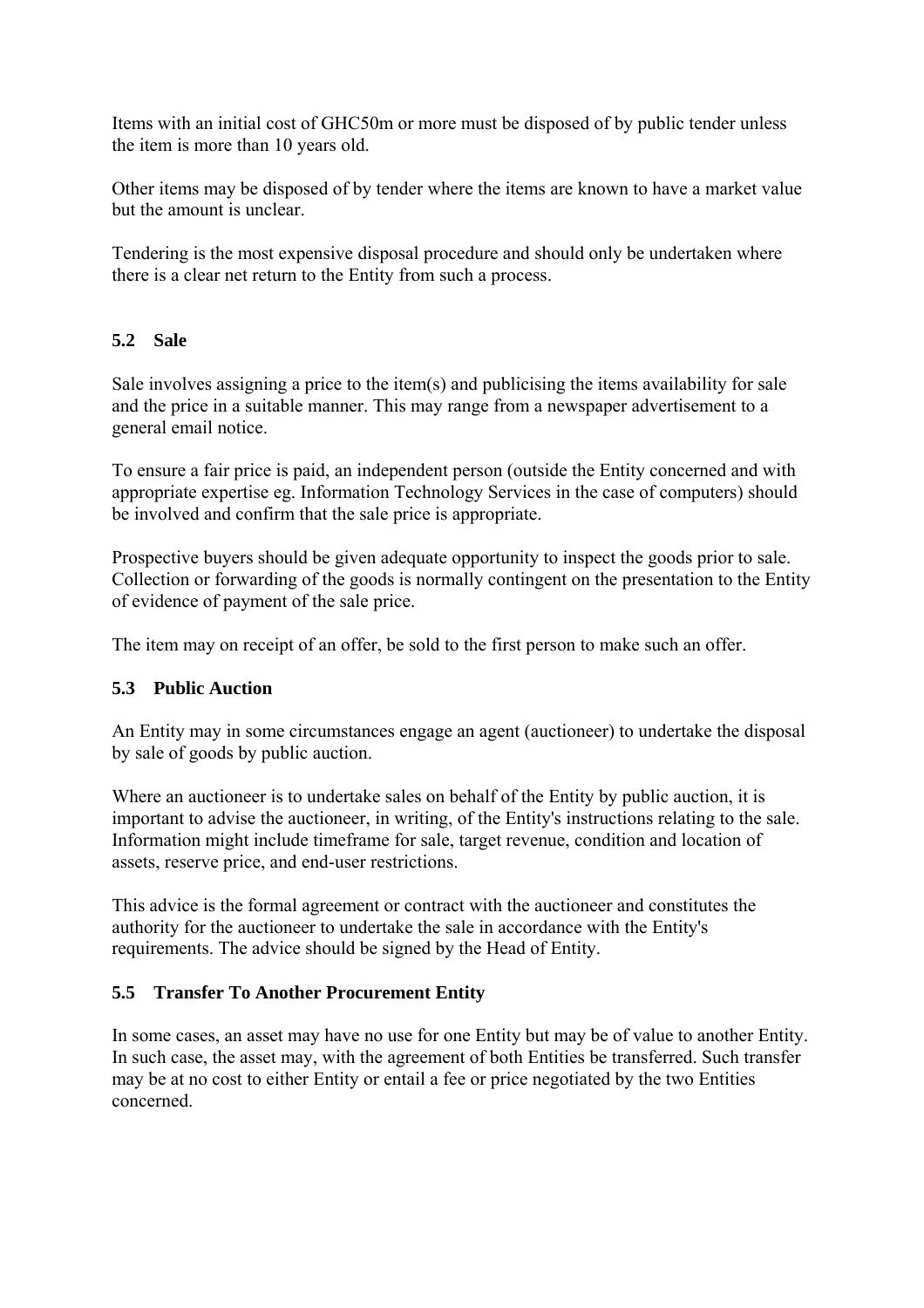Items with an initial cost of GHC50m or more must be disposed of by public tender unless the item is more than 10 years old.

Other items may be disposed of by tender where the items are known to have a market value but the amount is unclear.

Tendering is the most expensive disposal procedure and should only be undertaken where there is a clear net return to the Entity from such a process.

### **5.2 Sale**

Sale involves assigning a price to the item(s) and publicising the items availability for sale and the price in a suitable manner. This may range from a newspaper advertisement to a general email notice.

To ensure a fair price is paid, an independent person (outside the Entity concerned and with appropriate expertise eg. Information Technology Services in the case of computers) should be involved and confirm that the sale price is appropriate.

Prospective buyers should be given adequate opportunity to inspect the goods prior to sale. Collection or forwarding of the goods is normally contingent on the presentation to the Entity of evidence of payment of the sale price.

The item may on receipt of an offer, be sold to the first person to make such an offer.

#### **5.3 Public Auction**

An Entity may in some circumstances engage an agent (auctioneer) to undertake the disposal by sale of goods by public auction.

Where an auctioneer is to undertake sales on behalf of the Entity by public auction, it is important to advise the auctioneer, in writing, of the Entity's instructions relating to the sale. Information might include timeframe for sale, target revenue, condition and location of assets, reserve price, and end-user restrictions.

This advice is the formal agreement or contract with the auctioneer and constitutes the authority for the auctioneer to undertake the sale in accordance with the Entity's requirements. The advice should be signed by the Head of Entity.

#### **5.5 Transfer To Another Procurement Entity**

In some cases, an asset may have no use for one Entity but may be of value to another Entity. In such case, the asset may, with the agreement of both Entities be transferred. Such transfer may be at no cost to either Entity or entail a fee or price negotiated by the two Entities concerned.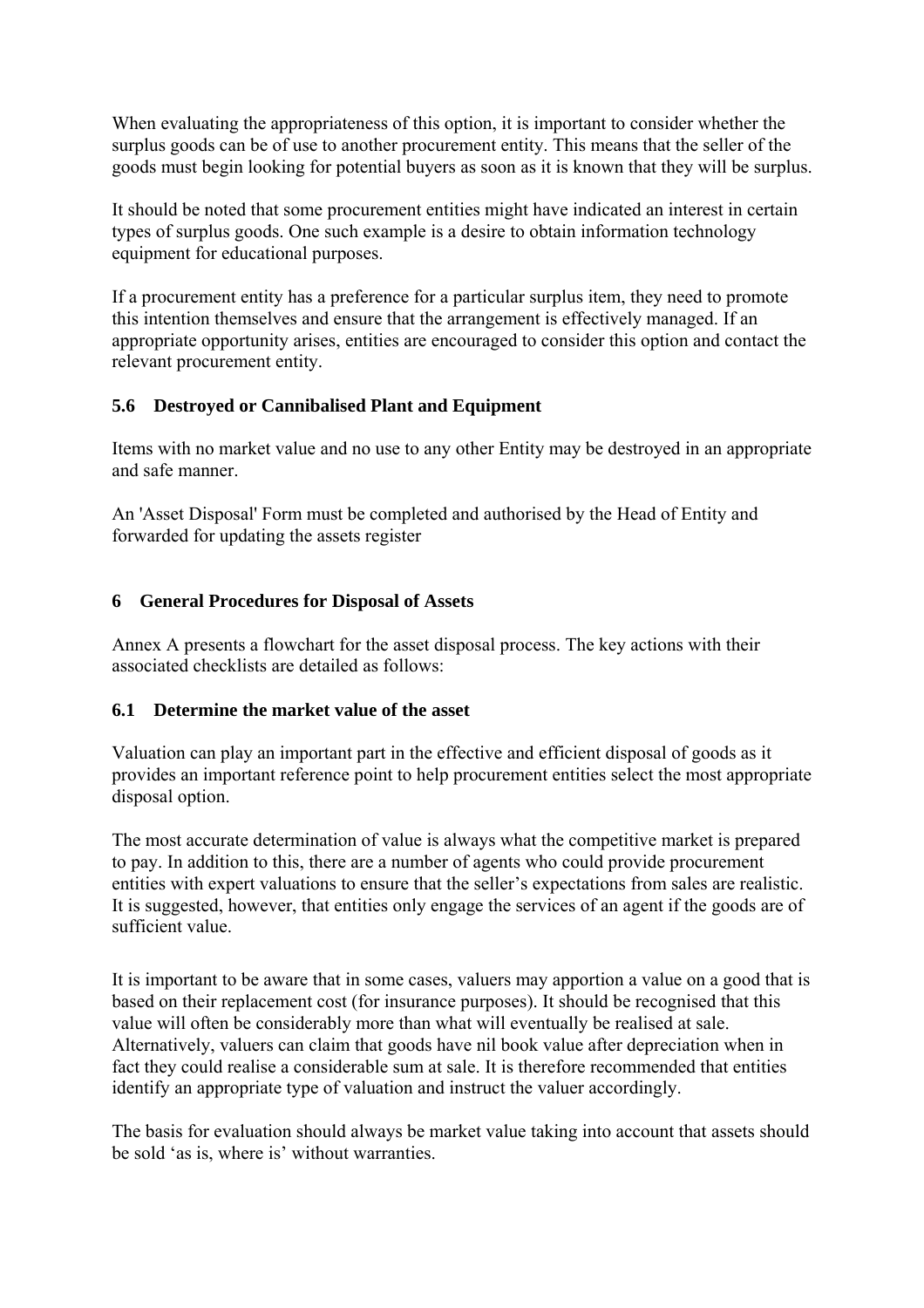When evaluating the appropriateness of this option, it is important to consider whether the surplus goods can be of use to another procurement entity. This means that the seller of the goods must begin looking for potential buyers as soon as it is known that they will be surplus.

It should be noted that some procurement entities might have indicated an interest in certain types of surplus goods. One such example is a desire to obtain information technology equipment for educational purposes.

If a procurement entity has a preference for a particular surplus item, they need to promote this intention themselves and ensure that the arrangement is effectively managed. If an appropriate opportunity arises, entities are encouraged to consider this option and contact the relevant procurement entity.

#### **5.6 Destroyed or Cannibalised Plant and Equipment**

Items with no market value and no use to any other Entity may be destroyed in an appropriate and safe manner.

An 'Asset Disposal' Form must be completed and authorised by the Head of Entity and forwarded for updating the assets register

#### **6 General Procedures for Disposal of Assets**

Annex A presents a flowchart for the asset disposal process. The key actions with their associated checklists are detailed as follows:

#### **6.1 Determine the market value of the asset**

Valuation can play an important part in the effective and efficient disposal of goods as it provides an important reference point to help procurement entities select the most appropriate disposal option.

The most accurate determination of value is always what the competitive market is prepared to pay. In addition to this, there are a number of agents who could provide procurement entities with expert valuations to ensure that the seller's expectations from sales are realistic. It is suggested, however, that entities only engage the services of an agent if the goods are of sufficient value.

It is important to be aware that in some cases, valuers may apportion a value on a good that is based on their replacement cost (for insurance purposes). It should be recognised that this value will often be considerably more than what will eventually be realised at sale. Alternatively, valuers can claim that goods have nil book value after depreciation when in fact they could realise a considerable sum at sale. It is therefore recommended that entities identify an appropriate type of valuation and instruct the valuer accordingly.

The basis for evaluation should always be market value taking into account that assets should be sold 'as is, where is' without warranties.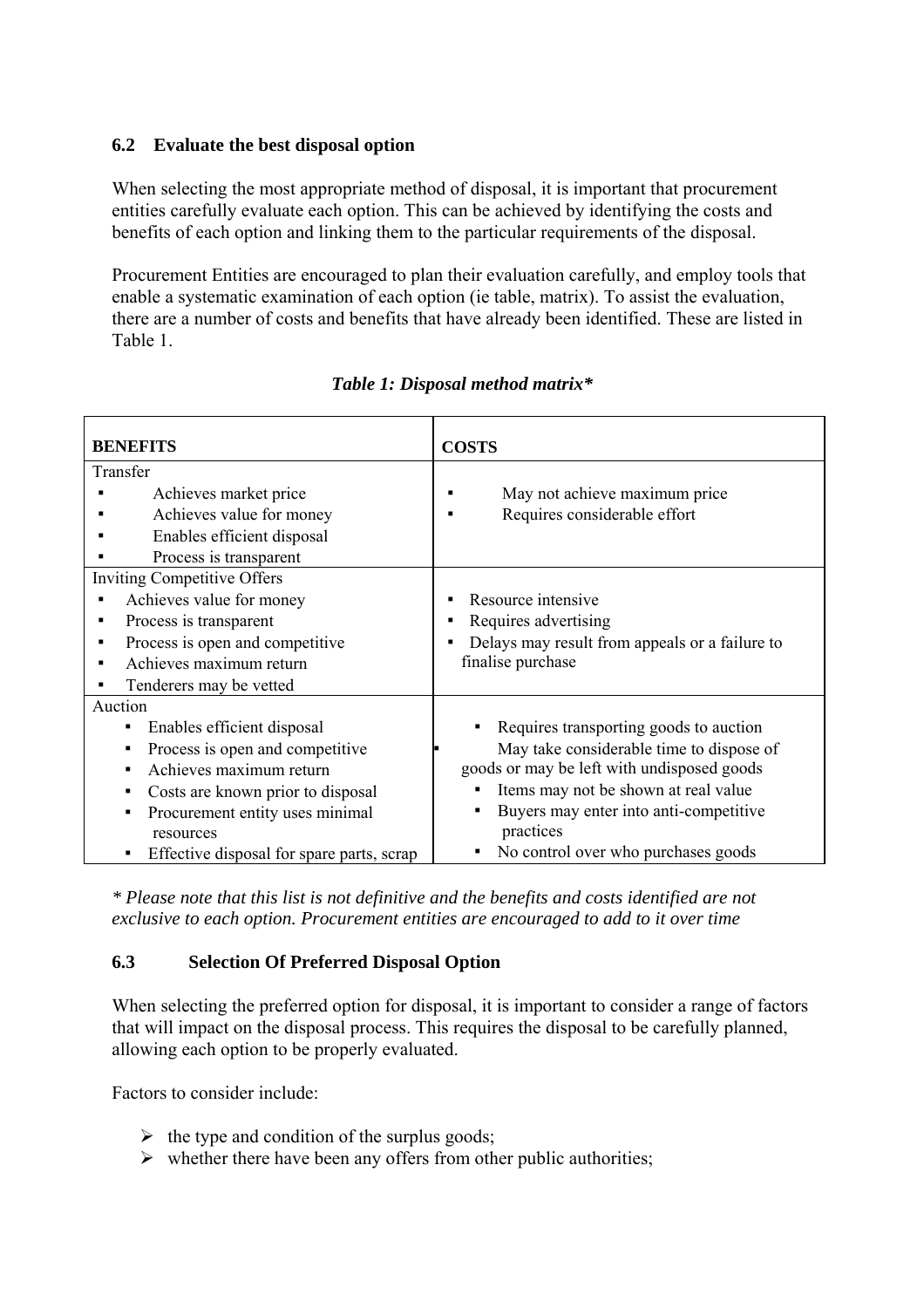#### **6.2 Evaluate the best disposal option**

When selecting the most appropriate method of disposal, it is important that procurement entities carefully evaluate each option. This can be achieved by identifying the costs and benefits of each option and linking them to the particular requirements of the disposal.

Procurement Entities are encouraged to plan their evaluation carefully, and employ tools that enable a systematic examination of each option (ie table, matrix). To assist the evaluation, there are a number of costs and benefits that have already been identified. These are listed in Table 1.

| <b>BENEFITS</b>                                | <b>COSTS</b>                                             |  |  |  |
|------------------------------------------------|----------------------------------------------------------|--|--|--|
|                                                |                                                          |  |  |  |
| Transfer                                       |                                                          |  |  |  |
| Achieves market price                          | May not achieve maximum price                            |  |  |  |
| Achieves value for money                       | Requires considerable effort                             |  |  |  |
| Enables efficient disposal                     |                                                          |  |  |  |
| Process is transparent                         |                                                          |  |  |  |
| <b>Inviting Competitive Offers</b>             |                                                          |  |  |  |
| Achieves value for money                       | Resource intensive                                       |  |  |  |
| Process is transparent                         | Requires advertising                                     |  |  |  |
| Process is open and competitive                | Delays may result from appeals or a failure to           |  |  |  |
| Achieves maximum return                        | finalise purchase                                        |  |  |  |
| Tenderers may be vetted                        |                                                          |  |  |  |
| Auction                                        |                                                          |  |  |  |
| Enables efficient disposal<br>$\blacksquare$   | Requires transporting goods to auction                   |  |  |  |
| Process is open and competitive<br>٠           | May take considerable time to dispose of                 |  |  |  |
| Achieves maximum return<br>$\blacksquare$      | goods or may be left with undisposed goods               |  |  |  |
| Costs are known prior to disposal<br>п         | Items may not be shown at real value                     |  |  |  |
| Procurement entity uses minimal<br>п           | Buyers may enter into anti-competitive<br>$\blacksquare$ |  |  |  |
| resources                                      | practices                                                |  |  |  |
| Effective disposal for spare parts, scrap<br>٠ | No control over who purchases goods                      |  |  |  |

|  |  | Table 1: Disposal method matrix* |  |
|--|--|----------------------------------|--|
|  |  |                                  |  |

*\* Please note that this list is not definitive and the benefits and costs identified are not exclusive to each option. Procurement entities are encouraged to add to it over time*

#### **6.3 Selection Of Preferred Disposal Option**

When selecting the preferred option for disposal, it is important to consider a range of factors that will impact on the disposal process. This requires the disposal to be carefully planned, allowing each option to be properly evaluated.

Factors to consider include:

- $\triangleright$  the type and condition of the surplus goods;
- $\triangleright$  whether there have been any offers from other public authorities;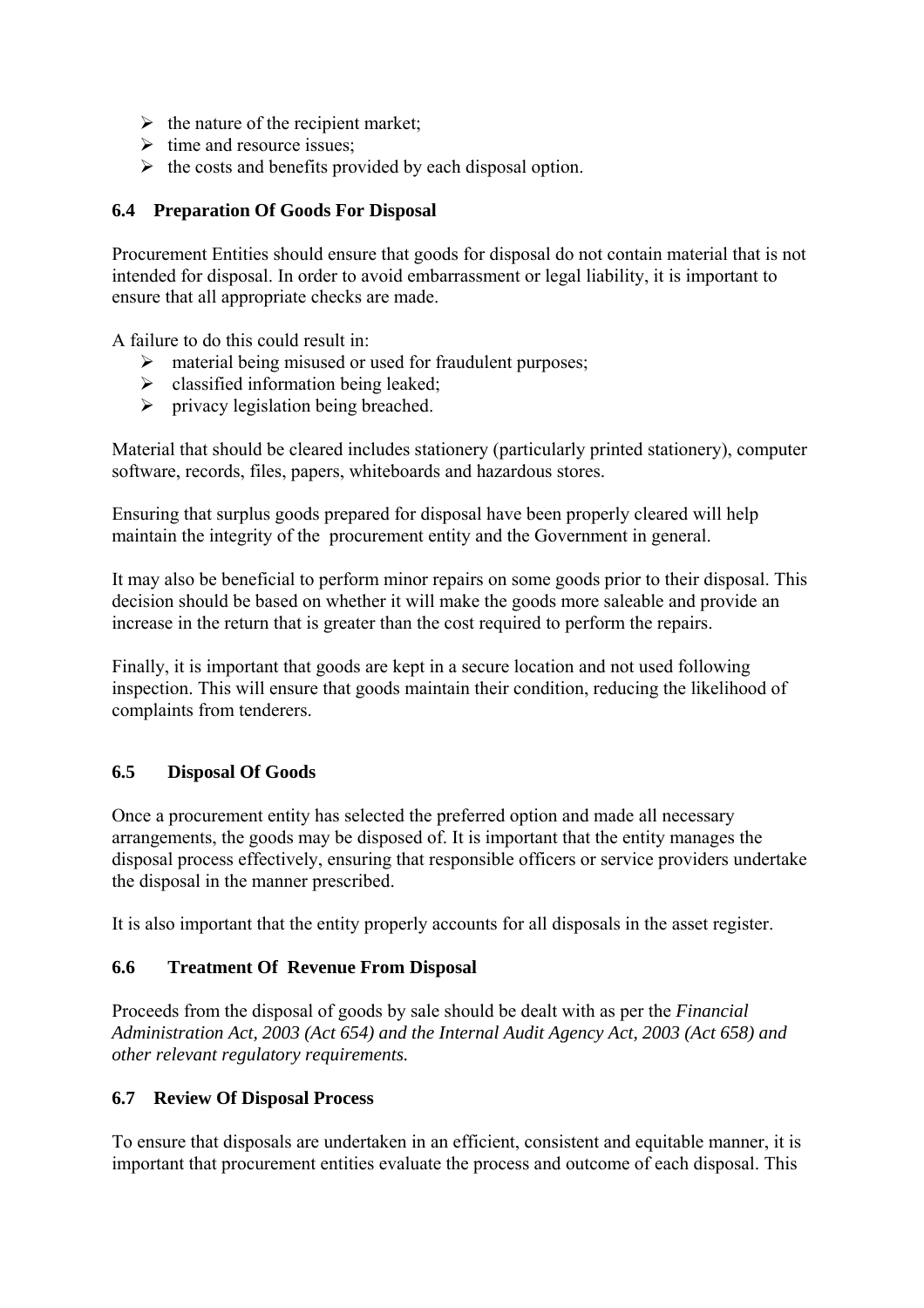- $\triangleright$  the nature of the recipient market;
- $\triangleright$  time and resource issues;
- $\triangleright$  the costs and benefits provided by each disposal option.

#### **6.4 Preparation Of Goods For Disposal**

Procurement Entities should ensure that goods for disposal do not contain material that is not intended for disposal. In order to avoid embarrassment or legal liability, it is important to ensure that all appropriate checks are made.

A failure to do this could result in:

- $\triangleright$  material being misused or used for fraudulent purposes;
- $\triangleright$  classified information being leaked;
- $\triangleright$  privacy legislation being breached.

Material that should be cleared includes stationery (particularly printed stationery), computer software, records, files, papers, whiteboards and hazardous stores.

Ensuring that surplus goods prepared for disposal have been properly cleared will help maintain the integrity of the procurement entity and the Government in general.

It may also be beneficial to perform minor repairs on some goods prior to their disposal. This decision should be based on whether it will make the goods more saleable and provide an increase in the return that is greater than the cost required to perform the repairs.

Finally, it is important that goods are kept in a secure location and not used following inspection. This will ensure that goods maintain their condition, reducing the likelihood of complaints from tenderers.

#### **6.5 Disposal Of Goods**

Once a procurement entity has selected the preferred option and made all necessary arrangements, the goods may be disposed of. It is important that the entity manages the disposal process effectively, ensuring that responsible officers or service providers undertake the disposal in the manner prescribed.

It is also important that the entity properly accounts for all disposals in the asset register.

#### **6.6 Treatment Of Revenue From Disposal**

Proceeds from the disposal of goods by sale should be dealt with as per the *Financial Administration Act, 2003 (Act 654) and the Internal Audit Agency Act, 2003 (Act 658) and other relevant regulatory requirements.* 

#### **6.7 Review Of Disposal Process**

To ensure that disposals are undertaken in an efficient, consistent and equitable manner, it is important that procurement entities evaluate the process and outcome of each disposal. This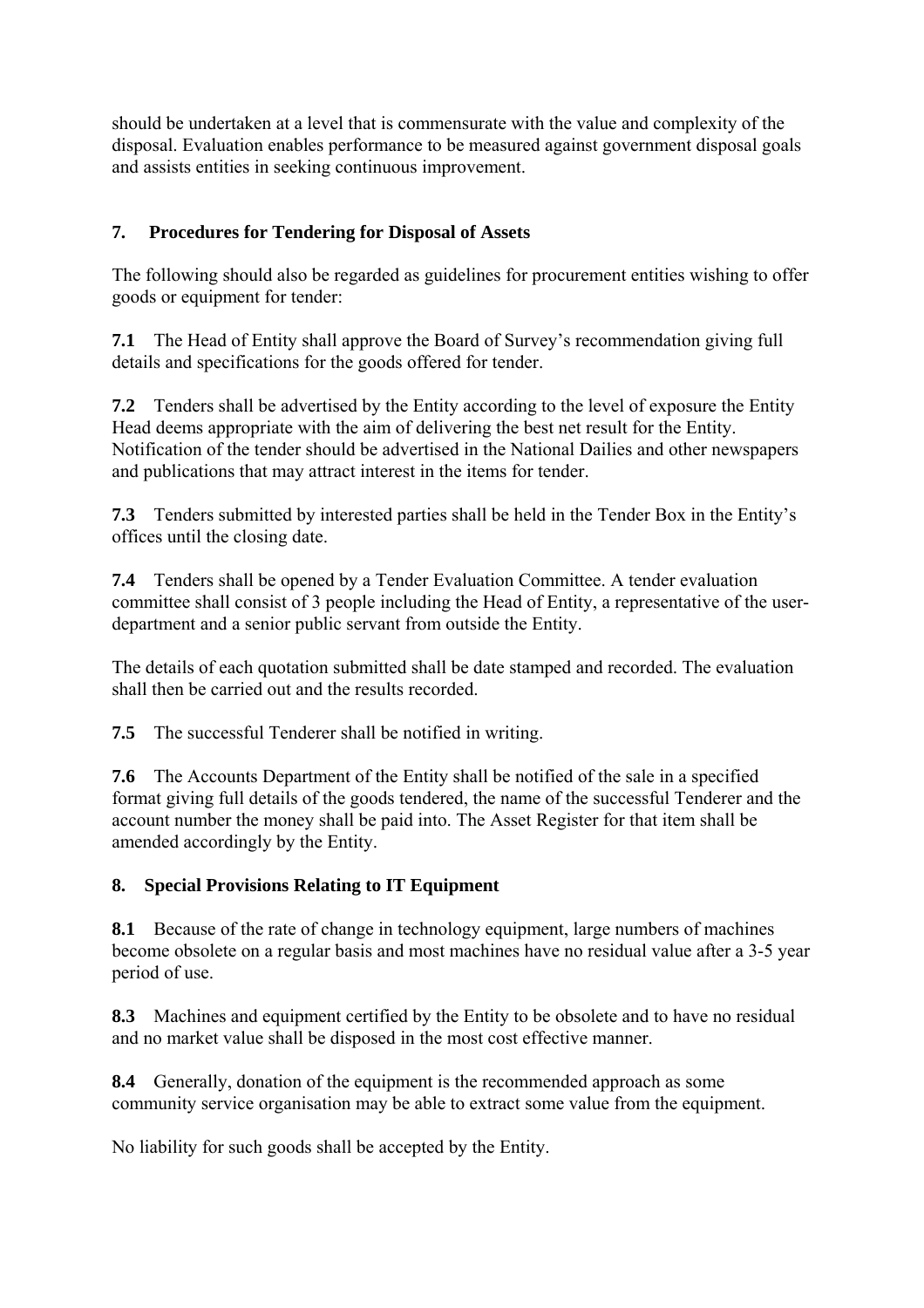should be undertaken at a level that is commensurate with the value and complexity of the disposal. Evaluation enables performance to be measured against government disposal goals and assists entities in seeking continuous improvement.

#### **7. Procedures for Tendering for Disposal of Assets**

The following should also be regarded as guidelines for procurement entities wishing to offer goods or equipment for tender:

**7.1** The Head of Entity shall approve the Board of Survey's recommendation giving full details and specifications for the goods offered for tender.

**7.2** Tenders shall be advertised by the Entity according to the level of exposure the Entity Head deems appropriate with the aim of delivering the best net result for the Entity. Notification of the tender should be advertised in the National Dailies and other newspapers and publications that may attract interest in the items for tender.

**7.3** Tenders submitted by interested parties shall be held in the Tender Box in the Entity's offices until the closing date.

**7.4** Tenders shall be opened by a Tender Evaluation Committee. A tender evaluation committee shall consist of 3 people including the Head of Entity, a representative of the userdepartment and a senior public servant from outside the Entity.

The details of each quotation submitted shall be date stamped and recorded. The evaluation shall then be carried out and the results recorded.

**7.5** The successful Tenderer shall be notified in writing.

**7.6** The Accounts Department of the Entity shall be notified of the sale in a specified format giving full details of the goods tendered, the name of the successful Tenderer and the account number the money shall be paid into. The Asset Register for that item shall be amended accordingly by the Entity.

#### **8. Special Provisions Relating to IT Equipment**

**8.1** Because of the rate of change in technology equipment, large numbers of machines become obsolete on a regular basis and most machines have no residual value after a 3-5 year period of use.

**8.3** Machines and equipment certified by the Entity to be obsolete and to have no residual and no market value shall be disposed in the most cost effective manner.

**8.4** Generally, donation of the equipment is the recommended approach as some community service organisation may be able to extract some value from the equipment.

No liability for such goods shall be accepted by the Entity.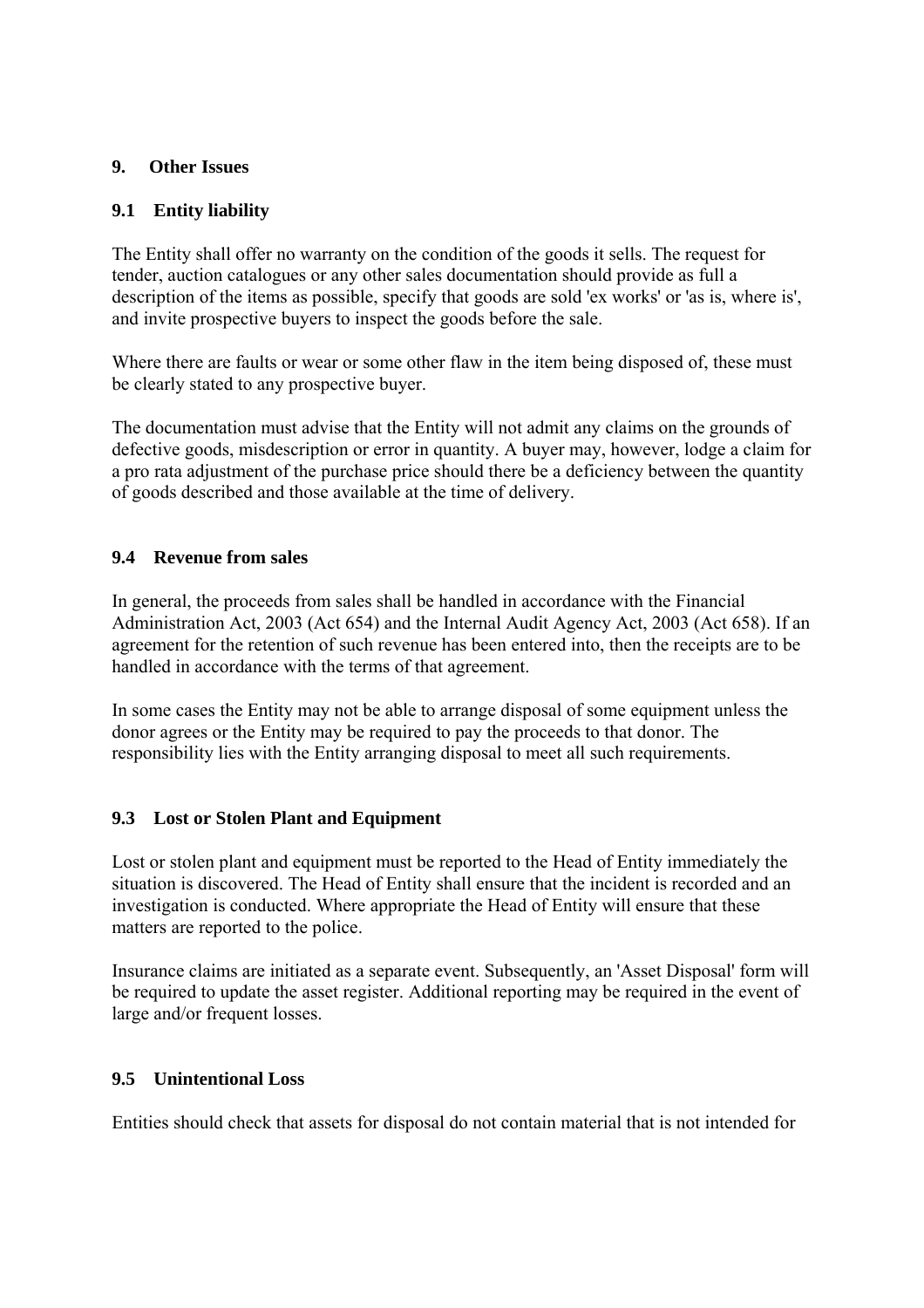#### **9. Other Issues**

#### **9.1 Entity liability**

The Entity shall offer no warranty on the condition of the goods it sells. The request for tender, auction catalogues or any other sales documentation should provide as full a description of the items as possible, specify that goods are sold 'ex works' or 'as is, where is', and invite prospective buyers to inspect the goods before the sale.

Where there are faults or wear or some other flaw in the item being disposed of, these must be clearly stated to any prospective buyer.

The documentation must advise that the Entity will not admit any claims on the grounds of defective goods, misdescription or error in quantity. A buyer may, however, lodge a claim for a pro rata adjustment of the purchase price should there be a deficiency between the quantity of goods described and those available at the time of delivery.

#### **9.4 Revenue from sales**

In general, the proceeds from sales shall be handled in accordance with the Financial Administration Act, 2003 (Act 654) and the Internal Audit Agency Act, 2003 (Act 658). If an agreement for the retention of such revenue has been entered into, then the receipts are to be handled in accordance with the terms of that agreement.

In some cases the Entity may not be able to arrange disposal of some equipment unless the donor agrees or the Entity may be required to pay the proceeds to that donor. The responsibility lies with the Entity arranging disposal to meet all such requirements.

#### **9.3 Lost or Stolen Plant and Equipment**

Lost or stolen plant and equipment must be reported to the Head of Entity immediately the situation is discovered. The Head of Entity shall ensure that the incident is recorded and an investigation is conducted. Where appropriate the Head of Entity will ensure that these matters are reported to the police.

Insurance claims are initiated as a separate event. Subsequently, an 'Asset Disposal' form will be required to update the asset register. Additional reporting may be required in the event of large and/or frequent losses.

#### **9.5 Unintentional Loss**

Entities should check that assets for disposal do not contain material that is not intended for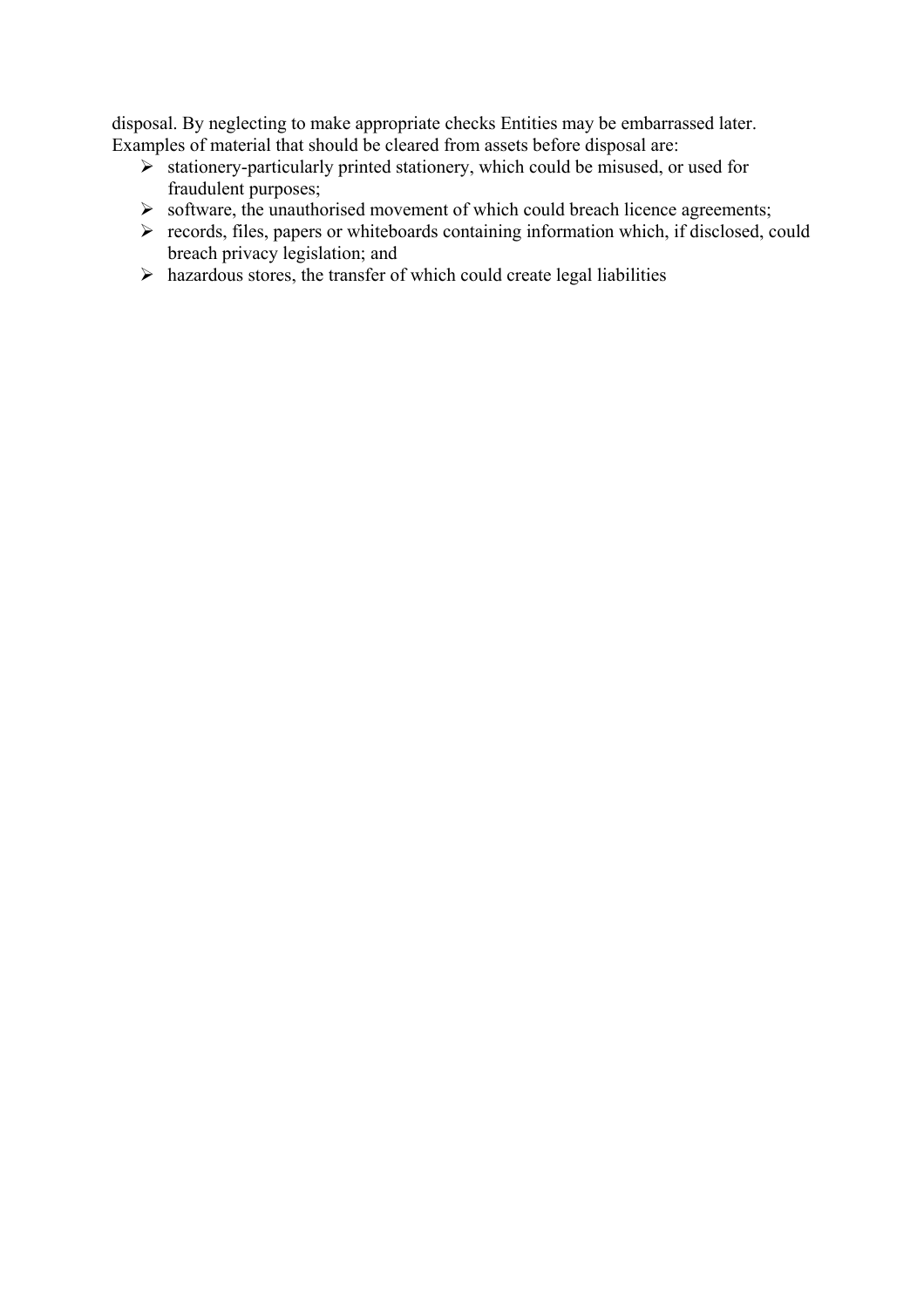disposal. By neglecting to make appropriate checks Entities may be embarrassed later. Examples of material that should be cleared from assets before disposal are:

- $\triangleright$  stationery-particularly printed stationery, which could be misused, or used for fraudulent purposes;
- $\triangleright$  software, the unauthorised movement of which could breach licence agreements;
- $\triangleright$  records, files, papers or whiteboards containing information which, if disclosed, could breach privacy legislation; and
- $\triangleright$  hazardous stores, the transfer of which could create legal liabilities